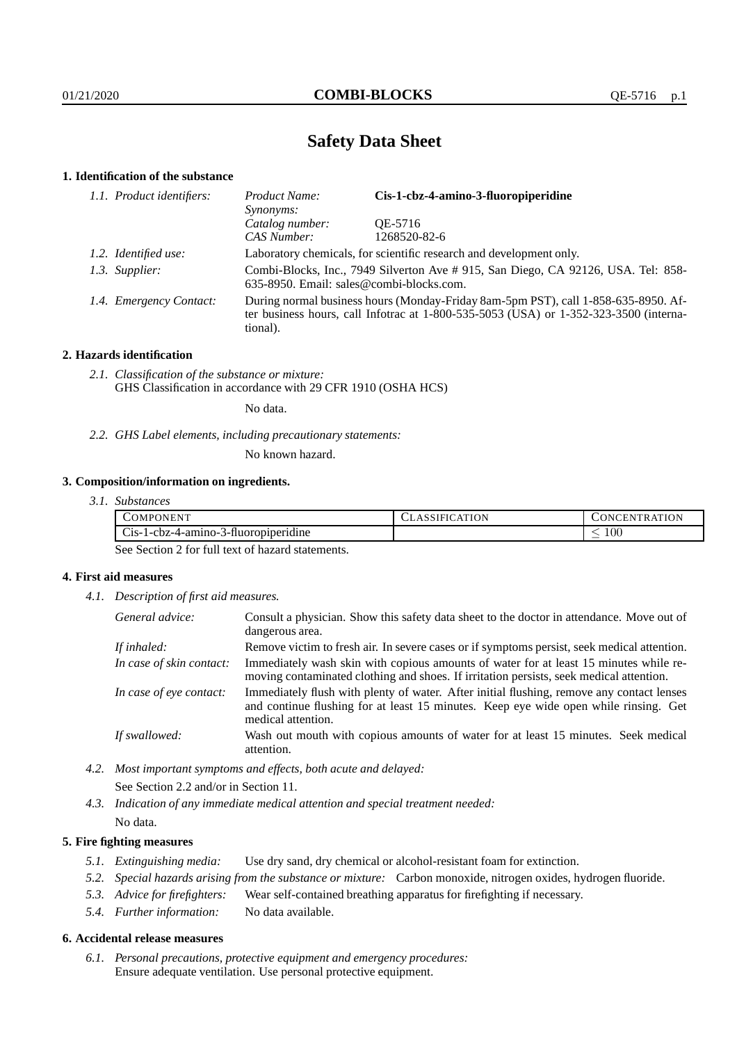# **Safety Data Sheet**

## **1. Identification of the substance**

| 1.1. Product identifiers: | Cis-1-cbz-4-amino-3-fluoropiperidine<br>Product Name:<br>Synonyms:                                                                                                                          |              |
|---------------------------|---------------------------------------------------------------------------------------------------------------------------------------------------------------------------------------------|--------------|
|                           | Catalog number:                                                                                                                                                                             | OE-5716      |
|                           | CAS Number:                                                                                                                                                                                 | 1268520-82-6 |
| 1.2. Identified use:      | Laboratory chemicals, for scientific research and development only.                                                                                                                         |              |
| 1.3. Supplier:            | Combi-Blocks, Inc., 7949 Silverton Ave # 915, San Diego, CA 92126, USA. Tel: 858-<br>635-8950. Email: sales@combi-blocks.com.                                                               |              |
| 1.4. Emergency Contact:   | During normal business hours (Monday-Friday 8am-5pm PST), call 1-858-635-8950. Af-<br>ter business hours, call Infotrac at $1-800-535-5053$ (USA) or $1-352-323-3500$ (interna-<br>tional). |              |

## **2. Hazards identification**

*2.1. Classification of the substance or mixture:* GHS Classification in accordance with 29 CFR 1910 (OSHA HCS)

No data.

*2.2. GHS Label elements, including precautionary statements:*

No known hazard.

## **3. Composition/information on ingredients.**

*3.1. Substances*

| . ONENT<br>'OMPC                                             | <b>ATION</b><br>. LASSIFIC/ | ATION<br>' 'NCEL.<br>'IRAT<br>ı Ni |
|--------------------------------------------------------------|-----------------------------|------------------------------------|
| $\sim$<br>. .<br>$C1S-I-CDZ-4-ammIO-2$<br>3-fluoropiperidine |                             | 100<br>-                           |

See Section 2 for full text of hazard statements.

## **4. First aid measures**

*4.1. Description of first aid measures.*

| General advice:          | Consult a physician. Show this safety data sheet to the doctor in attendance. Move out of<br>dangerous area.                                                                                            |
|--------------------------|---------------------------------------------------------------------------------------------------------------------------------------------------------------------------------------------------------|
| If inhaled:              | Remove victim to fresh air. In severe cases or if symptoms persist, seek medical attention.                                                                                                             |
| In case of skin contact: | Immediately wash skin with copious amounts of water for at least 15 minutes while re-<br>moving contaminated clothing and shoes. If irritation persists, seek medical attention.                        |
| In case of eye contact:  | Immediately flush with plenty of water. After initial flushing, remove any contact lenses<br>and continue flushing for at least 15 minutes. Keep eye wide open while rinsing. Get<br>medical attention. |
| If swallowed:            | Wash out mouth with copious amounts of water for at least 15 minutes. Seek medical<br>attention.                                                                                                        |

- *4.2. Most important symptoms and effects, both acute and delayed:* See Section 2.2 and/or in Section 11.
- *4.3. Indication of any immediate medical attention and special treatment needed:* No data.

## **5. Fire fighting measures**

- *5.1. Extinguishing media:* Use dry sand, dry chemical or alcohol-resistant foam for extinction.
- *5.2. Special hazards arising from the substance or mixture:* Carbon monoxide, nitrogen oxides, hydrogen fluoride.
- *5.3. Advice for firefighters:* Wear self-contained breathing apparatus for firefighting if necessary.
- *5.4. Further information:* No data available.

#### **6. Accidental release measures**

*6.1. Personal precautions, protective equipment and emergency procedures:* Ensure adequate ventilation. Use personal protective equipment.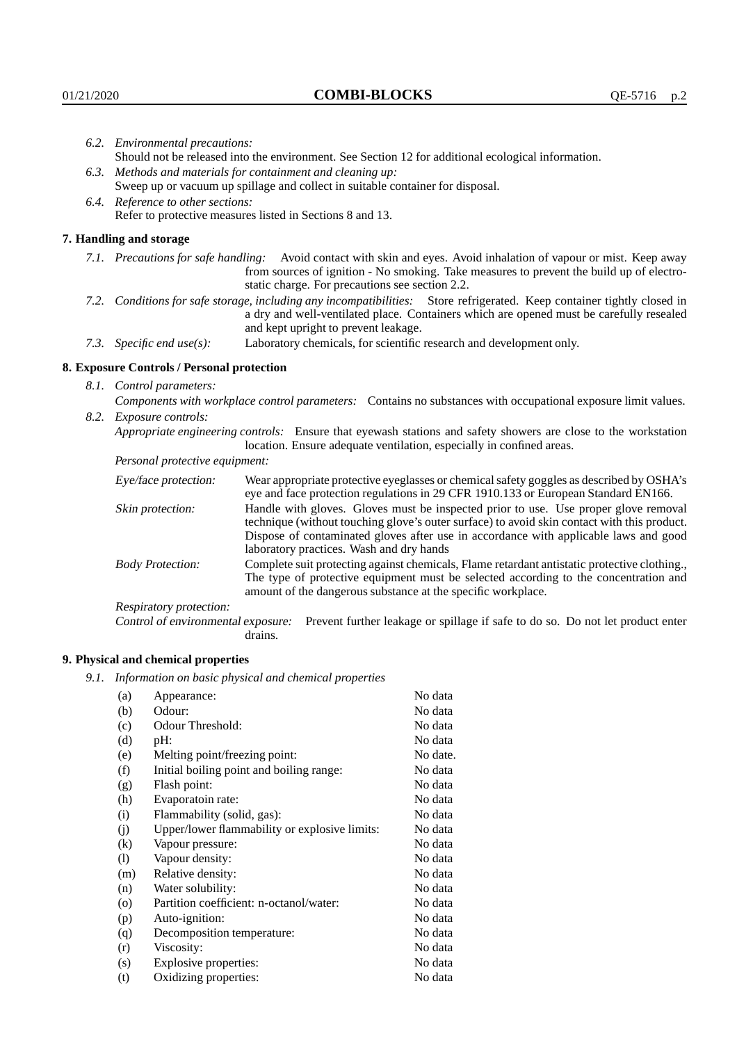|                                                                                                                         | 6.2. Environmental precautions:                                                                               |                                                                                                                                                                                                                                                                    |  |
|-------------------------------------------------------------------------------------------------------------------------|---------------------------------------------------------------------------------------------------------------|--------------------------------------------------------------------------------------------------------------------------------------------------------------------------------------------------------------------------------------------------------------------|--|
|                                                                                                                         | Should not be released into the environment. See Section 12 for additional ecological information.            |                                                                                                                                                                                                                                                                    |  |
|                                                                                                                         |                                                                                                               | 6.3. Methods and materials for containment and cleaning up:                                                                                                                                                                                                        |  |
|                                                                                                                         | Sweep up or vacuum up spillage and collect in suitable container for disposal.                                |                                                                                                                                                                                                                                                                    |  |
|                                                                                                                         | 6.4. Reference to other sections:                                                                             |                                                                                                                                                                                                                                                                    |  |
|                                                                                                                         |                                                                                                               | Refer to protective measures listed in Sections 8 and 13.                                                                                                                                                                                                          |  |
|                                                                                                                         | 7. Handling and storage                                                                                       |                                                                                                                                                                                                                                                                    |  |
|                                                                                                                         |                                                                                                               | 7.1. Precautions for safe handling: Avoid contact with skin and eyes. Avoid inhalation of vapour or mist. Keep away<br>from sources of ignition - No smoking. Take measures to prevent the build up of electro-<br>static charge. For precautions see section 2.2. |  |
| 7.2. Conditions for safe storage, including any incompatibilities: Store refrigerated. Keep container tightly closed in |                                                                                                               | a dry and well-ventilated place. Containers which are opened must be carefully resealed<br>and kept upright to prevent leakage.                                                                                                                                    |  |
|                                                                                                                         | 7.3. Specific end use(s):                                                                                     | Laboratory chemicals, for scientific research and development only.                                                                                                                                                                                                |  |
|                                                                                                                         | 8. Exposure Controls / Personal protection                                                                    |                                                                                                                                                                                                                                                                    |  |
|                                                                                                                         | 8.1. Control parameters:                                                                                      |                                                                                                                                                                                                                                                                    |  |
|                                                                                                                         | Components with workplace control parameters: Contains no substances with occupational exposure limit values. |                                                                                                                                                                                                                                                                    |  |
|                                                                                                                         | 8.2. Exposure controls:                                                                                       |                                                                                                                                                                                                                                                                    |  |
|                                                                                                                         |                                                                                                               | Appropriate engineering controls: Ensure that eyewash stations and safety showers are close to the workstation<br>location. Ensure adequate ventilation, especially in confined areas.                                                                             |  |
|                                                                                                                         | Personal protective equipment:                                                                                |                                                                                                                                                                                                                                                                    |  |
|                                                                                                                         | Eye/face protection:                                                                                          | Wear appropriate protective eyeglasses or chemical safety goggles as described by OSHA's<br>eye and face protection regulations in 29 CFR 1910.133 or European Standard EN166.                                                                                     |  |
|                                                                                                                         | Skin protection:                                                                                              | Handle with gloves. Gloves must be inspected prior to use. Use proper glove removal<br>technique (without touching glove's outer surface) to avoid skin contact with this product.                                                                                 |  |

| Eye/face protection:               | Wear appropriate protective eyeglasses or chemical safety goggles as described by OSHA's<br>eye and face protection regulations in 29 CFR 1910.133 or European Standard EN166.                                                                                                                                         |  |  |
|------------------------------------|------------------------------------------------------------------------------------------------------------------------------------------------------------------------------------------------------------------------------------------------------------------------------------------------------------------------|--|--|
| Skin protection:                   | Handle with gloves. Gloves must be inspected prior to use. Use proper glove removal<br>technique (without touching glove's outer surface) to avoid skin contact with this product.<br>Dispose of contaminated gloves after use in accordance with applicable laws and good<br>laboratory practices. Wash and dry hands |  |  |
| <b>Body Protection:</b>            | Complete suit protecting against chemicals, Flame retardant antistatic protective clothing.,<br>The type of protective equipment must be selected according to the concentration and<br>amount of the dangerous substance at the specific workplace.                                                                   |  |  |
| Respiratory protection:            |                                                                                                                                                                                                                                                                                                                        |  |  |
| Control of environmental exposure: | Prevent further leakage or spillage if safe to do so. Do not let product enter<br>drains.                                                                                                                                                                                                                              |  |  |

## **9. Physical and chemical properties**

*9.1. Information on basic physical and chemical properties*

| (a)                          | Appearance:                                   | No data  |
|------------------------------|-----------------------------------------------|----------|
| (b)                          | Odour:                                        | No data  |
| (c)                          | Odour Threshold:                              | No data  |
| (d)                          | pH:                                           | No data  |
| (e)                          | Melting point/freezing point:                 | No date. |
| (f)                          | Initial boiling point and boiling range:      | No data  |
| (g)                          | Flash point:                                  | No data  |
| (h)                          | Evaporatoin rate:                             | No data  |
| (i)                          | Flammability (solid, gas):                    | No data  |
| (j)                          | Upper/lower flammability or explosive limits: | No data  |
| (k)                          | Vapour pressure:                              | No data  |
| $\left( \frac{1}{2} \right)$ | Vapour density:                               | No data  |
| (m)                          | Relative density:                             | No data  |
| (n)                          | Water solubility:                             | No data  |
| $\circ$                      | Partition coefficient: n-octanol/water:       | No data  |
| (p)                          | Auto-ignition:                                | No data  |
| (q)                          | Decomposition temperature:                    | No data  |
| (r)                          | Viscosity:                                    | No data  |
| (s)                          | Explosive properties:                         | No data  |
| (t)                          | Oxidizing properties:                         | No data  |
|                              |                                               |          |